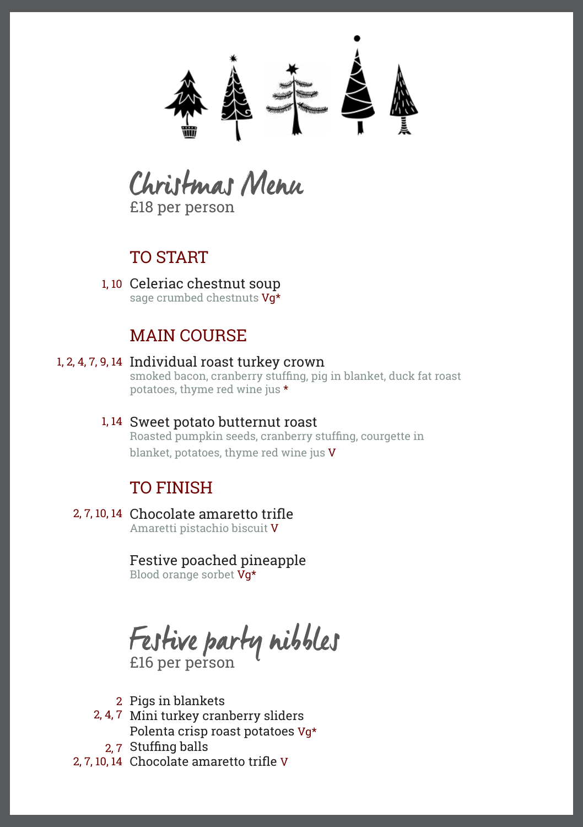

Christmas Menu £18 per person

# TO START

1, 10 Celeriac chestnut soup sage crumbed chestnuts Vq\*

# MAIN COURSE

# 1, 2, 4, 7, 9, 14 Individual roast turkey crown

smoked bacon, cranberry stuffing, pig in blanket, duck fat roast potatoes, thyme red wine jus \*

#### 1, 14 Sweet potato butternut roast Roasted pumpkin seeds, cranberry stuffing, courgette in blanket, potatoes, thyme red wine jus V

# TO FINISH

2, 7, 10, 14 Chocolate amaretto trifle Amaretti pistachio biscuit V

# Festive poached pineapple

Blood orange sorbet  $\bar{V}g^{\star}$ 

Festive party nibbles £16 per person

- 2 Pigs in blankets
- 2, 4, 7 Mini turkey cranberry sliders Polenta crisp roast potatoes Vg\*
	- 2, 7 Stuffing balls
- 2, 7, 10, 14 Chocolate amaretto trifle V